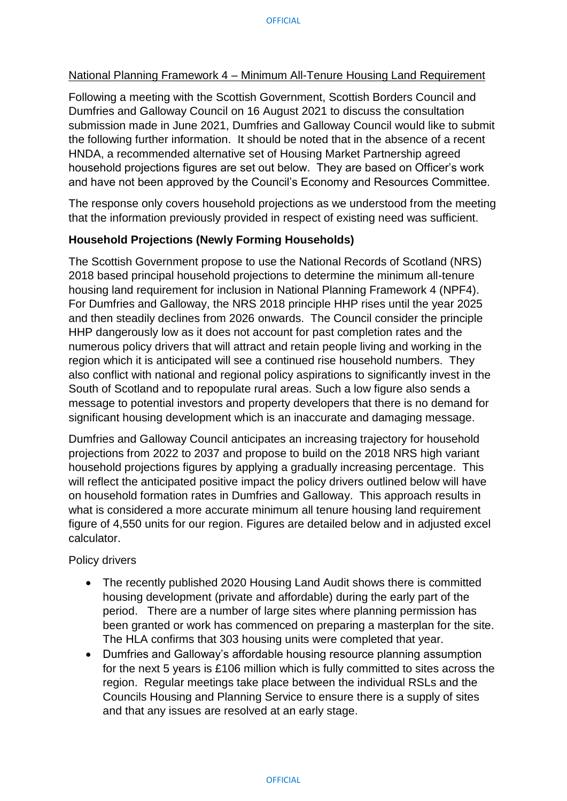## National Planning Framework 4 – Minimum All-Tenure Housing Land Requirement

Following a meeting with the Scottish Government, Scottish Borders Council and Dumfries and Galloway Council on 16 August 2021 to discuss the consultation submission made in June 2021, Dumfries and Galloway Council would like to submit the following further information. It should be noted that in the absence of a recent HNDA, a recommended alternative set of Housing Market Partnership agreed household projections figures are set out below. They are based on Officer's work and have not been approved by the Council's Economy and Resources Committee.

The response only covers household projections as we understood from the meeting that the information previously provided in respect of existing need was sufficient.

## **Household Projections (Newly Forming Households)**

The Scottish Government propose to use the National Records of Scotland (NRS) 2018 based principal household projections to determine the minimum all-tenure housing land requirement for inclusion in National Planning Framework 4 (NPF4). For Dumfries and Galloway, the NRS 2018 principle HHP rises until the year 2025 and then steadily declines from 2026 onwards. The Council consider the principle HHP dangerously low as it does not account for past completion rates and the numerous policy drivers that will attract and retain people living and working in the region which it is anticipated will see a continued rise household numbers. They also conflict with national and regional policy aspirations to significantly invest in the South of Scotland and to repopulate rural areas. Such a low figure also sends a message to potential investors and property developers that there is no demand for significant housing development which is an inaccurate and damaging message.

Dumfries and Galloway Council anticipates an increasing trajectory for household projections from 2022 to 2037 and propose to build on the 2018 NRS high variant household projections figures by applying a gradually increasing percentage. This will reflect the anticipated positive impact the policy drivers outlined below will have on household formation rates in Dumfries and Galloway. This approach results in what is considered a more accurate minimum all tenure housing land requirement figure of 4,550 units for our region. Figures are detailed below and in adjusted excel calculator.

Policy drivers

- The recently published 2020 Housing Land Audit shows there is committed housing development (private and affordable) during the early part of the period. There are a number of large sites where planning permission has been granted or work has commenced on preparing a masterplan for the site. The HLA confirms that 303 housing units were completed that year.
- Dumfries and Galloway's affordable housing resource planning assumption for the next 5 years is £106 million which is fully committed to sites across the region. Regular meetings take place between the individual RSLs and the Councils Housing and Planning Service to ensure there is a supply of sites and that any issues are resolved at an early stage.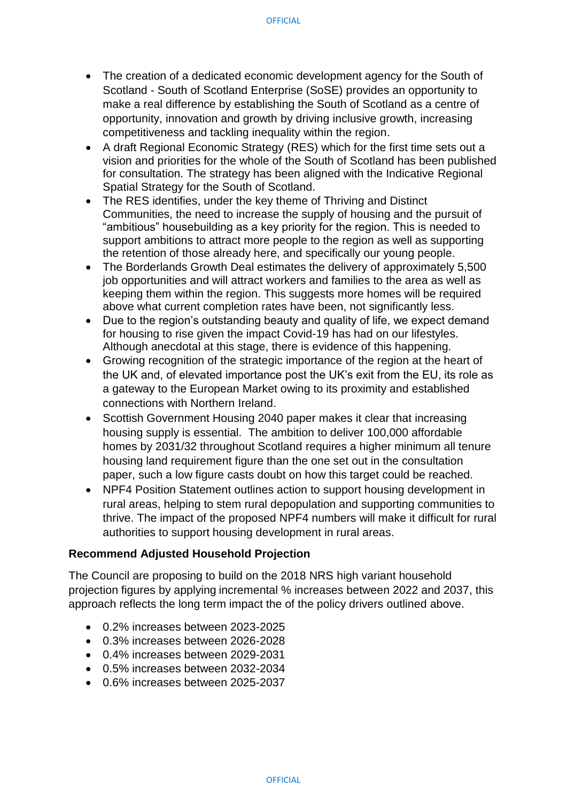- The creation of a dedicated economic development agency for the South of Scotland - South of Scotland Enterprise (SoSE) provides an opportunity to make a real difference by establishing the South of Scotland as a centre of opportunity, innovation and growth by driving inclusive growth, increasing competitiveness and tackling inequality within the region.
- A draft Regional Economic Strategy (RES) which for the first time sets out a vision and priorities for the whole of the South of Scotland has been published for consultation. The strategy has been aligned with the Indicative Regional Spatial Strategy for the South of Scotland.
- The RES identifies, under the key theme of Thriving and Distinct Communities, the need to increase the supply of housing and the pursuit of "ambitious" housebuilding as a key priority for the region. This is needed to support ambitions to attract more people to the region as well as supporting the retention of those already here, and specifically our young people.
- The Borderlands Growth Deal estimates the delivery of approximately 5,500 job opportunities and will attract workers and families to the area as well as keeping them within the region. This suggests more homes will be required above what current completion rates have been, not significantly less.
- Due to the region's outstanding beauty and quality of life, we expect demand for housing to rise given the impact Covid-19 has had on our lifestyles. Although anecdotal at this stage, there is evidence of this happening.
- Growing recognition of the strategic importance of the region at the heart of the UK and, of elevated importance post the UK's exit from the EU, its role as a gateway to the European Market owing to its proximity and established connections with Northern Ireland.
- Scottish Government Housing 2040 paper makes it clear that increasing housing supply is essential. The ambition to deliver 100,000 affordable homes by 2031/32 throughout Scotland requires a higher minimum all tenure housing land requirement figure than the one set out in the consultation paper, such a low figure casts doubt on how this target could be reached.
- NPF4 Position Statement outlines action to support housing development in rural areas, helping to stem rural depopulation and supporting communities to thrive. The impact of the proposed NPF4 numbers will make it difficult for rural authorities to support housing development in rural areas.

## **Recommend Adjusted Household Projection**

The Council are proposing to build on the 2018 NRS high variant household projection figures by applying incremental % increases between 2022 and 2037, this approach reflects the long term impact the of the policy drivers outlined above.

- 0.2% increases between 2023-2025
- 0.3% increases between 2026-2028
- 0.4% increases between 2029-2031
- 0.5% increases between 2032-2034
- 0.6% increases between 2025-2037